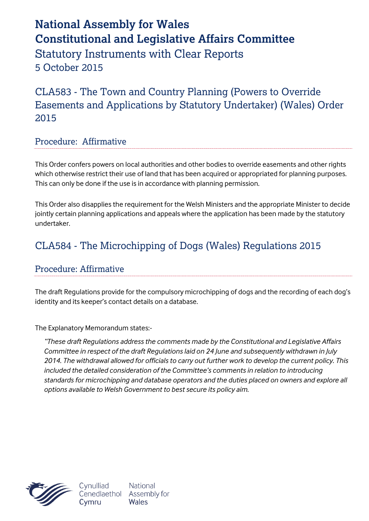# **National Assembly for Wales Constitutional and Legislative Affairs Committee** Statutory Instruments with Clear Reports 5 October 2015

CLA583 - The Town and Country Planning (Powers to Override Easements and Applications by Statutory Undertaker) (Wales) Order 2015

#### Procedure: Affirmative

This Order confers powers on local authorities and other bodies to override easements and other rights which otherwise restrict their use of land that has been acquired or appropriated for planning purposes. This can only be done if the use is in accordance with planning permission.

This Order also disapplies the requirement for the Welsh Ministers and the appropriate Minister to decide jointly certain planning applications and appeals where the application has been made by the statutory undertaker.

## CLA584 - The Microchipping of Dogs (Wales) Regulations 2015

#### Procedure: Affirmative

The draft Regulations provide for the compulsory microchipping of dogs and the recording of each dog's identity and its keeper's contact details on a database.

The Explanatory Memorandum states:-

*"These draft Regulations address the comments made by the Constitutional and Legislative Affairs Committee in respect of the draft Regulations laid on 24 June and subsequently withdrawn in July 2014. The withdrawal allowed for officials to carry out further work to develop the current policy. This included the detailed consideration of the Committee's comments in relation to introducing standards for microchipping and database operators and the duties placed on owners and explore all options available to Welsh Government to best secure its policy aim.*



Cynulliad Cenedlaethol Assembly for Cvmru

**National** Wales